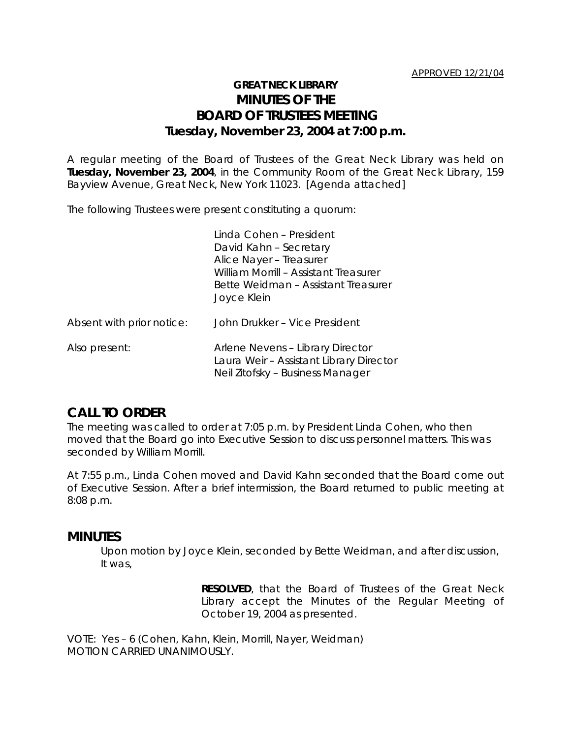# **GREAT NECK LIBRARY MINUTES OF THE BOARD OF TRUSTEES MEETING Tuesday, November 23, 2004 at 7:00 p.m.**

A regular meeting of the Board of Trustees of the Great Neck Library was held on **Tuesday, November 23, 2004**, in the Community Room of the Great Neck Library, 159 Bayview Avenue, Great Neck, New York 11023. [Agenda attached]

The following Trustees were present constituting a quorum:

|                           | Linda Cohen - President<br>David Kahn - Secretary<br>Alice Nayer - Treasurer<br>William Morrill - Assistant Treasurer<br>Bette Weidman - Assistant Treasurer<br>Joyce Klein |
|---------------------------|-----------------------------------------------------------------------------------------------------------------------------------------------------------------------------|
| Absent with prior notice: | John Drukker - Vice President                                                                                                                                               |
| Also present:             | Arlene Nevens - Library Director<br>Laura Weir - Assistant Library Director<br>Neil Zitofsky – Business Manager                                                             |

## **CALL TO ORDER**

The meeting was called to order at 7:05 p.m. by President Linda Cohen, who then moved that the Board go into Executive Session to discuss personnel matters. This was seconded by William Morrill.

At 7:55 p.m., Linda Cohen moved and David Kahn seconded that the Board come out of Executive Session. After a brief intermission, the Board returned to public meeting at 8:08 p.m.

## **MINUTES**

Upon motion by Joyce Klein, seconded by Bette Weidman, and after discussion, It was,

> **RESOLVED**, that the Board of Trustees of the Great Neck Library accept the Minutes of the Regular Meeting of October 19, 2004 as presented.

VOTE:Yes – 6 (Cohen, Kahn, Klein, Morrill, Nayer, Weidman) *MOTION CARRIED UNANIMOUSLY.*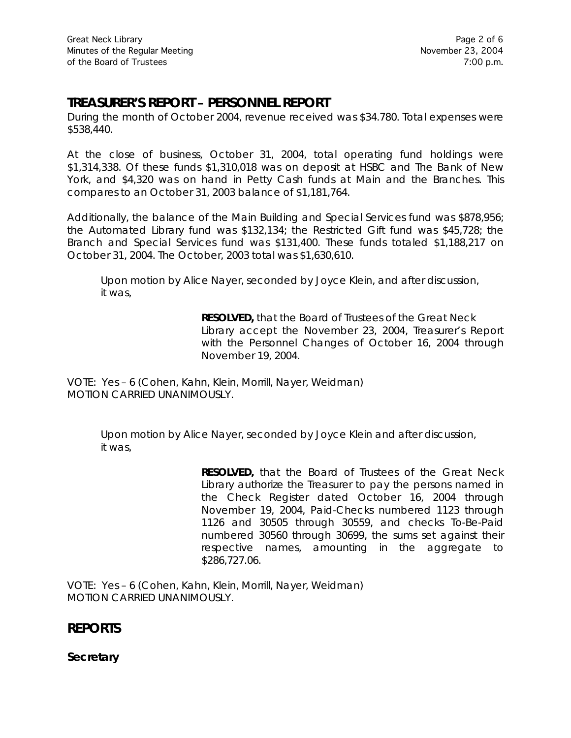# **TREASURER'S REPORT – PERSONNEL REPORT**

During the month of October 2004, revenue received was \$34.780. Total expenses were \$538,440.

At the close of business, October 31, 2004, total operating fund holdings were \$1,314,338. Of these funds \$1,310,018 was on deposit at HSBC and The Bank of New York, and \$4,320 was on hand in Petty Cash funds at Main and the Branches. This compares to an October 31, 2003 balance of \$1,181,764.

Additionally, the balance of the Main Building and Special Services fund was \$878,956; the Automated Library fund was \$132,134; the Restricted Gift fund was \$45,728; the Branch and Special Services fund was \$131,400. These funds totaled \$1,188,217 on October 31, 2004. The October, 2003 total was \$1,630,610.

Upon motion by Alice Nayer, seconded by Joyce Klein, and after discussion, it was,

> **RESOLVED,** that the Board of Trustees of the Great Neck Library accept the November 23, 2004, Treasurer's Report with the Personnel Changes of October 16, 2004 through November 19, 2004.

VOTE:Yes – 6 (Cohen, Kahn, Klein, Morrill, Nayer, Weidman) *MOTION CARRIED UNANIMOUSLY.*

> Upon motion by Alice Nayer, seconded by Joyce Klein and after discussion, it was,

> > **RESOLVED,** that the Board of Trustees of the Great Neck Library authorize the Treasurer to pay the persons named in the Check Register dated October 16, 2004 through November 19, 2004, Paid-Checks numbered 1123 through 1126 and 30505 through 30559, and checks To-Be-Paid numbered 30560 through 30699, the sums set against their respective names, amounting in the aggregate to \$286,727.06.

VOTE:Yes – 6 (Cohen, Kahn, Klein, Morrill, Nayer, Weidman) *MOTION CARRIED UNANIMOUSLY.*

## **REPORTS**

**Secretary**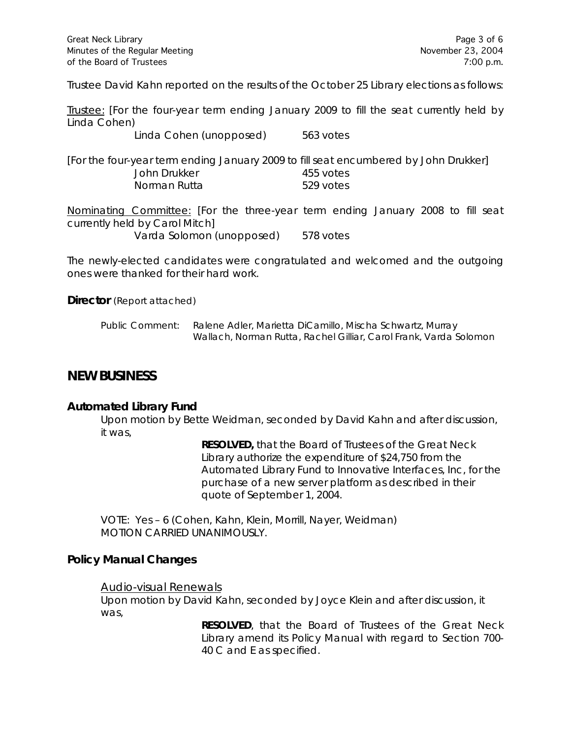Trustee David Kahn reported on the results of the October 25 Library elections as follows:

Trustee: [For the four-year term ending January 2009 to fill the seat currently held by Linda Cohen)

Linda Cohen (unopposed) 563 votes

[For the four-year term ending January 2009 to fill seat encumbered by John Drukker] John Drukker 455 votes Norman Rutta 529 votes

Nominating Committee: [For the three-year term ending January 2008 to fill seat currently held by Carol Mitch] Varda Solomon (unopposed) 578 votes

The newly-elected candidates were congratulated and welcomed and the outgoing ones were thanked for their hard work.

**Director** (Report attached)

| Public Comment: | Ralene Adler, Marietta DiCamillo, Mischa Schwartz, Murray         |
|-----------------|-------------------------------------------------------------------|
|                 | Wallach, Norman Rutta, Rachel Gilliar, Carol Frank, Varda Solomon |

## **NEW BUSINESS**

### **Automated Library Fund**

Upon motion by Bette Weidman, seconded by David Kahn and after discussion, it was,

> **RESOLVED,** that the Board of Trustees of the Great Neck Library authorize the expenditure of \$24,750 from the Automated Library Fund to Innovative Interfaces, Inc, for the purchase of a new server platform as described in their quote of September 1, 2004.

VOTE:Yes – 6 (Cohen, Kahn, Klein, Morrill, Nayer, Weidman) *MOTION CARRIED UNANIMOUSLY.*

### **Policy Manual Changes**

#### Audio-visual Renewals

Upon motion by David Kahn, seconded by Joyce Klein and after discussion, it was,

> **RESOLVED**, that the Board of Trustees of the Great Neck Library amend its Policy Manual with regard to Section 700- 40 C and E as specified.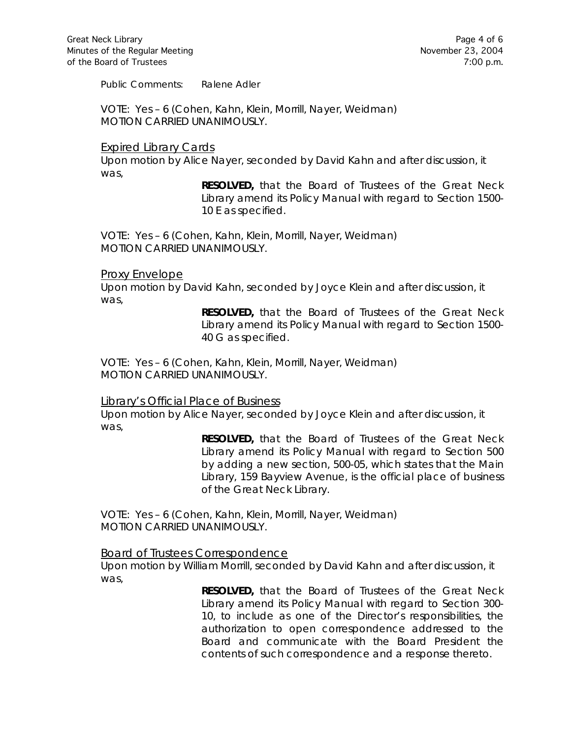Public Comments: Ralene Adler

VOTE:Yes – 6 (Cohen, Kahn, Klein, Morrill, Nayer, Weidman) *MOTION CARRIED UNANIMOUSLY.*

#### Expired Library Cards

Upon motion by Alice Nayer, seconded by David Kahn and after discussion, it was,

> **RESOLVED,** that the Board of Trustees of the Great Neck Library amend its Policy Manual with regard to Section 1500- 10 E as specified.

VOTE:Yes – 6 (Cohen, Kahn, Klein, Morrill, Nayer, Weidman) *MOTION CARRIED UNANIMOUSLY.*

#### Proxy Envelope

Upon motion by David Kahn, seconded by Joyce Klein and after discussion, it was,

> **RESOLVED,** that the Board of Trustees of the Great Neck Library amend its Policy Manual with regard to Section 1500- 40 G as specified.

VOTE:Yes – 6 (Cohen, Kahn, Klein, Morrill, Nayer, Weidman) *MOTION CARRIED UNANIMOUSLY.*

#### Library's Official Place of Business

Upon motion by Alice Nayer, seconded by Joyce Klein and after discussion, it was,

> **RESOLVED,** that the Board of Trustees of the Great Neck Library amend its Policy Manual with regard to Section 500 by adding a new section, 500-05, which states that the Main Library, 159 Bayview Avenue, is the official place of business of the Great Neck Library.

VOTE:Yes – 6 (Cohen, Kahn, Klein, Morrill, Nayer, Weidman) *MOTION CARRIED UNANIMOUSLY.*

#### Board of Trustees Correspondence

Upon motion by William Morrill, seconded by David Kahn and after discussion, it was,

> **RESOLVED,** that the Board of Trustees of the Great Neck Library amend its Policy Manual with regard to Section 300- 10, to include as one of the Director's responsibilities, the authorization to open correspondence addressed to the Board and communicate with the Board President the contents of such correspondence and a response thereto.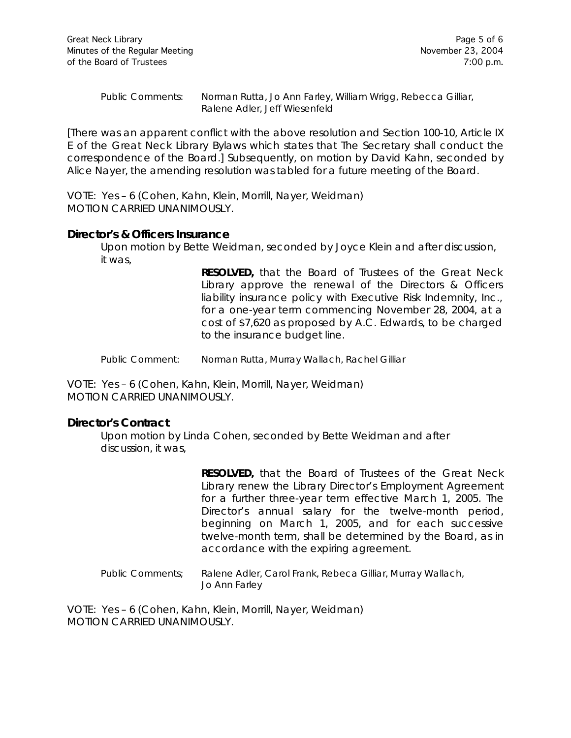Public Comments: Norman Rutta, Jo Ann Farley, William Wrigg, Rebecca Gilliar, Ralene Adler, Jeff Wiesenfeld

[There was an apparent conflict with the above resolution and Section 100-10, Article IX E of the Great Neck Library Bylaws which states that *The Secretary shall conduct the correspondence of the Board*.] Subsequently, on motion by David Kahn, seconded by Alice Nayer, the amending resolution was tabled for a future meeting of the Board.

VOTE:Yes – 6 (Cohen, Kahn, Klein, Morrill, Nayer, Weidman) *MOTION CARRIED UNANIMOUSLY.*

#### **Director's & Officers Insurance**

Upon motion by Bette Weidman, seconded by Joyce Klein and after discussion, it was,

> **RESOLVED,** that the Board of Trustees of the Great Neck Library approve the renewal of the Directors & Officers liability insurance policy with Executive Risk Indemnity, Inc., for a one-year term commencing November 28, 2004, at a cost of \$7,620 as proposed by A.C. Edwards, to be charged to the insurance budget line.

Public Comment: Norman Rutta, Murray Wallach, Rachel Gilliar

VOTE:Yes – 6 (Cohen, Kahn, Klein, Morrill, Nayer, Weidman) *MOTION CARRIED UNANIMOUSLY.*

### **Director's Contract**

Upon motion by Linda Cohen, seconded by Bette Weidman and after discussion, it was,

> **RESOLVED,** that the Board of Trustees of the Great Neck Library renew the Library Director's Employment Agreement for a further three-year term effective March 1, 2005. The Director's annual salary for the twelve-month period, beginning on March 1, 2005, and for each successive twelve-month term, shall be determined by the Board, as in accordance with the expiring agreement.

Public Comments; Ralene Adler, Carol Frank, Rebeca Gilliar, Murray Wallach, Jo Ann Farley

VOTE:Yes – 6 (Cohen, Kahn, Klein, Morrill, Nayer, Weidman) *MOTION CARRIED UNANIMOUSLY.*